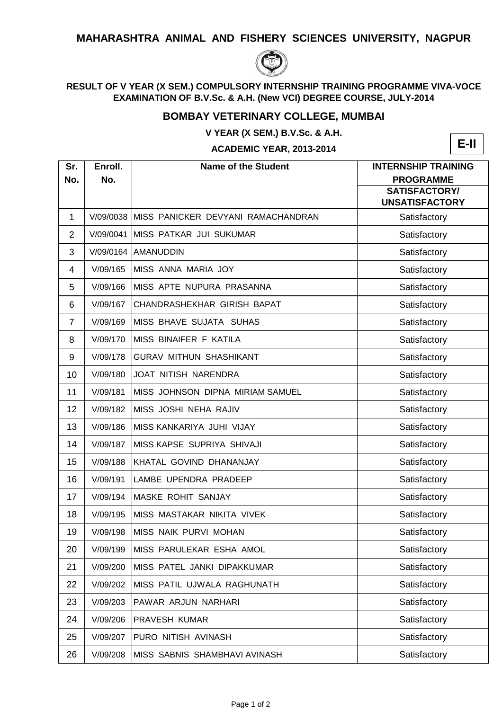## **MAHARASHTRA ANIMAL AND FISHERY SCIENCES UNIVERSITY, NAGPUR**



## **RESULT OF V YEAR (X SEM.) COMPULSORY INTERNSHIP TRAINING PROGRAMME VIVA-VOCE EXAMINATION OF B.V.Sc. & A.H. (New VCI) DEGREE COURSE, JULY-2014**

## **BOMBAY VETERINARY COLLEGE, MUMBAI**

**V YEAR (X SEM.) B.V.Sc. & A.H.**

**ACADEMIC YEAR, 2013-2014**



| Sr.            | Enroll.   | <b>Name of the Student</b>                 | <b>INTERNSHIP TRAINING</b>             |
|----------------|-----------|--------------------------------------------|----------------------------------------|
| No.            | No.       |                                            | <b>PROGRAMME</b>                       |
|                |           |                                            | SATISFACTORY/<br><b>UNSATISFACTORY</b> |
| 1              | V/09/0038 | <b>IMISS PANICKER DEVYANI RAMACHANDRAN</b> | Satisfactory                           |
| $\overline{2}$ | V/09/0041 | <b>MISS PATKAR JUI SUKUMAR</b>             | Satisfactory                           |
| 3              | V/09/0164 | AMANUDDIN                                  | Satisfactory                           |
| 4              | V/09/165  | MISS ANNA MARIA JOY                        | Satisfactory                           |
| 5              | V/09/166  | MISS APTE NUPURA PRASANNA                  | Satisfactory                           |
| 6              | V/09/167  | CHANDRASHEKHAR GIRISH BAPAT                | Satisfactory                           |
| $\overline{7}$ | V/09/169  | MISS BHAVE SUJATA SUHAS                    | Satisfactory                           |
| 8              | V/09/170  | MISS BINAIFER F KATILA                     | Satisfactory                           |
| 9              | V/09/178  | <b>GURAV MITHUN SHASHIKANT</b>             | Satisfactory                           |
| 10             | V/09/180  | JOAT NITISH NARENDRA                       | Satisfactory                           |
| 11             | V/09/181  | MISS JOHNSON DIPNA MIRIAM SAMUEL           | Satisfactory                           |
| 12             | V/09/182  | MISS JOSHI NEHA RAJIV                      | Satisfactory                           |
| 13             | V/09/186  | MISS KANKARIYA JUHI VIJAY                  | Satisfactory                           |
| 14             | V/09/187  | MISS KAPSE SUPRIYA SHIVAJI                 | Satisfactory                           |
| 15             | V/09/188  | KHATAL GOVIND DHANANJAY                    | Satisfactory                           |
| 16             | V/09/191  | LAMBE UPENDRA PRADEEP                      | Satisfactory                           |
| 17             | V/09/194  | <b>MASKE ROHIT SANJAY</b>                  | Satisfactory                           |
| 18             | V/09/195  | MISS MASTAKAR NIKITA VIVEK                 | Satisfactory                           |
| 19             | V/09/198  | <b>MISS NAIK PURVI MOHAN</b>               | Satisfactory                           |
| 20             | V/09/199  | MISS PARULEKAR ESHA AMOL                   | Satisfactory                           |
| 21             | V/09/200  | MISS PATEL JANKI DIPAKKUMAR                | Satisfactory                           |
| 22             | V/09/202  | MISS PATIL UJWALA RAGHUNATH                | Satisfactory                           |
| 23             | V/09/203  | PAWAR ARJUN NARHARI                        | Satisfactory                           |
| 24             | V/09/206  | <b>PRAVESH KUMAR</b>                       | Satisfactory                           |
| 25             | V/09/207  | PURO NITISH AVINASH                        | Satisfactory                           |
| 26             | V/09/208  | MISS SABNIS SHAMBHAVI AVINASH              | Satisfactory                           |